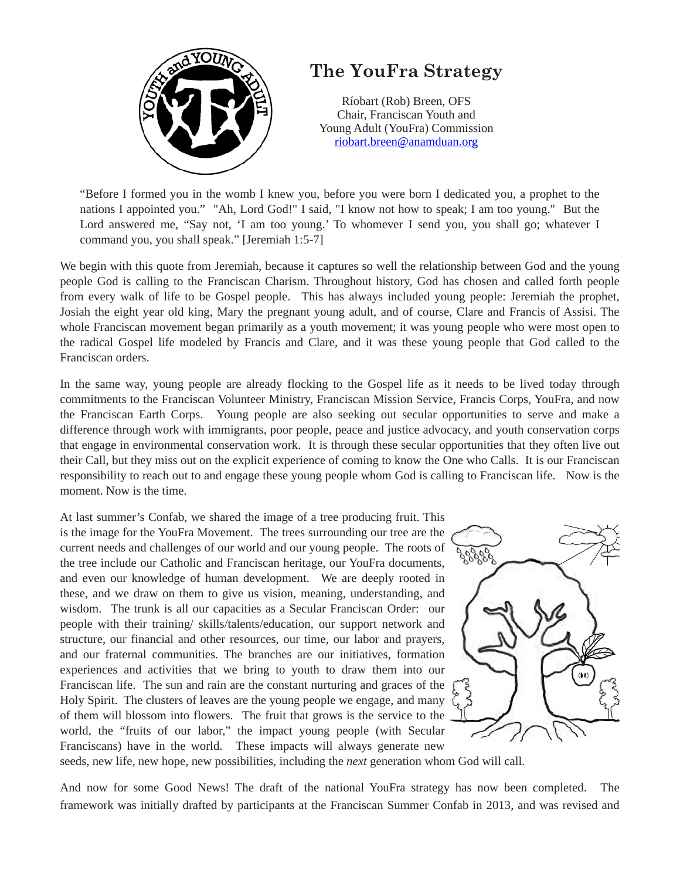

## **The YouFra Strategy**

Ríobart (Rob) Breen, OFS Chair, Franciscan Youth and Young Adult (YouFra) Commission [riobart.breen@anamduan.org](mailto:riobart.breen@anamduan.org)

"Before I formed you in the womb I knew you, before you were born I dedicated you, a prophet to the nations I appointed you." "Ah, Lord God!" I said, "I know not how to speak; I am too young." But the Lord answered me, "Say not, 'I am too young.' To whomever I send you, you shall go; whatever I command you, you shall speak." [Jeremiah 1:5-7]

We begin with this quote from Jeremiah, because it captures so well the relationship between God and the young people God is calling to the Franciscan Charism. Throughout history, God has chosen and called forth people from every walk of life to be Gospel people. This has always included young people: Jeremiah the prophet, Josiah the eight year old king, Mary the pregnant young adult, and of course, Clare and Francis of Assisi. The whole Franciscan movement began primarily as a youth movement; it was young people who were most open to the radical Gospel life modeled by Francis and Clare, and it was these young people that God called to the Franciscan orders.

In the same way, young people are already flocking to the Gospel life as it needs to be lived today through commitments to the Franciscan Volunteer Ministry, Franciscan Mission Service, Francis Corps, YouFra, and now the Franciscan Earth Corps. Young people are also seeking out secular opportunities to serve and make a difference through work with immigrants, poor people, peace and justice advocacy, and youth conservation corps that engage in environmental conservation work. It is through these secular opportunities that they often live out their Call, but they miss out on the explicit experience of coming to know the One who Calls. It is our Franciscan responsibility to reach out to and engage these young people whom God is calling to Franciscan life. Now is the moment. Now is the time.

At last summer's Confab, we shared the image of a tree producing fruit. This is the image for the YouFra Movement. The trees surrounding our tree are the current needs and challenges of our world and our young people. The roots of the tree include our Catholic and Franciscan heritage, our YouFra documents, and even our knowledge of human development. We are deeply rooted in these, and we draw on them to give us vision, meaning, understanding, and wisdom. The trunk is all our capacities as a Secular Franciscan Order: our people with their training/ skills/talents/education, our support network and structure, our financial and other resources, our time, our labor and prayers, and our fraternal communities. The branches are our initiatives, formation experiences and activities that we bring to youth to draw them into our Franciscan life. The sun and rain are the constant nurturing and graces of the Holy Spirit. The clusters of leaves are the young people we engage, and many of them will blossom into flowers. The fruit that grows is the service to the world, the "fruits of our labor," the impact young people (with Secular Franciscans) have in the world. These impacts will always generate new



seeds, new life, new hope, new possibilities, including the *next* generation whom God will call.

And now for some Good News! The draft of the national YouFra strategy has now been completed. The framework was initially drafted by participants at the Franciscan Summer Confab in 2013, and was revised and